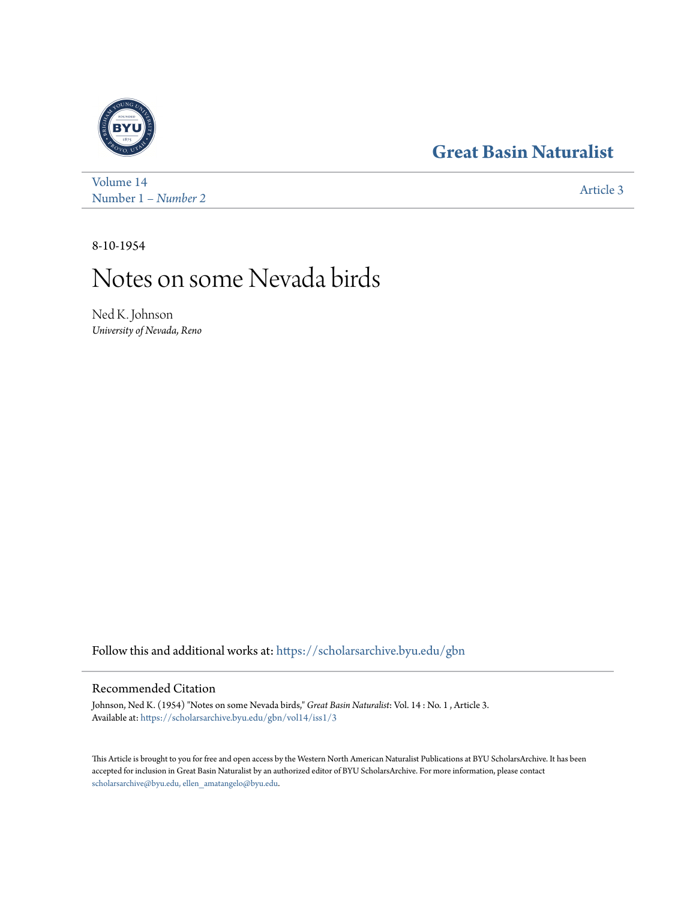## **[Great Basin Naturalist](https://scholarsarchive.byu.edu/gbn?utm_source=scholarsarchive.byu.edu%2Fgbn%2Fvol14%2Fiss1%2F3&utm_medium=PDF&utm_campaign=PDFCoverPages)**



[Volume 14](https://scholarsarchive.byu.edu/gbn/vol14?utm_source=scholarsarchive.byu.edu%2Fgbn%2Fvol14%2Fiss1%2F3&utm_medium=PDF&utm_campaign=PDFCoverPages) Number 1 *[– Number 2](https://scholarsarchive.byu.edu/gbn/vol14/iss1?utm_source=scholarsarchive.byu.edu%2Fgbn%2Fvol14%2Fiss1%2F3&utm_medium=PDF&utm_campaign=PDFCoverPages)* [Article 3](https://scholarsarchive.byu.edu/gbn/vol14/iss1/3?utm_source=scholarsarchive.byu.edu%2Fgbn%2Fvol14%2Fiss1%2F3&utm_medium=PDF&utm_campaign=PDFCoverPages)

8-10-1954

## Notes on some Nevada birds

Ned K. Johnson *University of Nevada, Reno*

Follow this and additional works at: [https://scholarsarchive.byu.edu/gbn](https://scholarsarchive.byu.edu/gbn?utm_source=scholarsarchive.byu.edu%2Fgbn%2Fvol14%2Fiss1%2F3&utm_medium=PDF&utm_campaign=PDFCoverPages)

## Recommended Citation

Johnson, Ned K. (1954) "Notes on some Nevada birds," *Great Basin Naturalist*: Vol. 14 : No. 1 , Article 3. Available at: [https://scholarsarchive.byu.edu/gbn/vol14/iss1/3](https://scholarsarchive.byu.edu/gbn/vol14/iss1/3?utm_source=scholarsarchive.byu.edu%2Fgbn%2Fvol14%2Fiss1%2F3&utm_medium=PDF&utm_campaign=PDFCoverPages)

This Article is brought to you for free and open access by the Western North American Naturalist Publications at BYU ScholarsArchive. It has been accepted for inclusion in Great Basin Naturalist by an authorized editor of BYU ScholarsArchive. For more information, please contact [scholarsarchive@byu.edu, ellen\\_amatangelo@byu.edu.](mailto:scholarsarchive@byu.edu,%20ellen_amatangelo@byu.edu)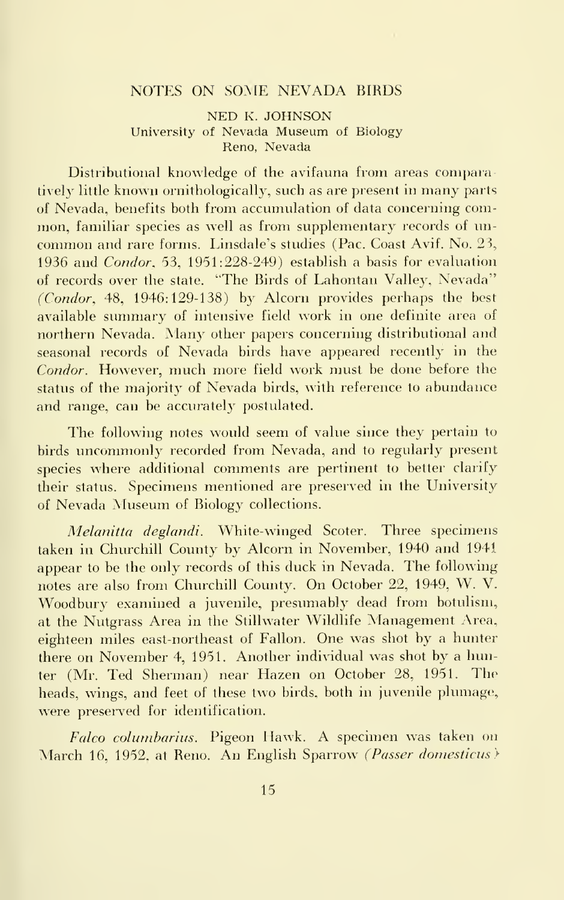## NOTES ON SOME NEVADA BIRDS

NED K. JOHNSON University of Nevada Museum of Biology Reno, Nevada

Distributional knowledge of the avifauna from areas comparatively little known ornithologically, such as are present in many parts of Nevada, benefits both from accumulation of data concerning com mon, familiar species as well as from supplementary records of un common and rare forms. Linsdale's studies (Pac. Coast Avif. No. 23, 1936 and Condor, 53, 1951:228-249) establish a basis for evaluation of records over the state. "The Birds of Lahontan Valley, Nevada" (Condor, 48, 1946:129-138) by Alcorn provides perhaps the best available summary of intensive field work in one definite area of northern Nevada. Many other papers concerning distributional and seasonal records of Nevada birds have appeared recently in the Condor. However, much more field work must be done before the status of the majority of Nevada birds, with reference to abundance and range, can be accurately postulated.

The following notes would seem of value since they pertain to birds uncommonly recorded from Nevada, and to regularly present species where additional comments are pertinent to better clarify their status. Specimens mentioned are preserved in the University of Nevada Museum of Biology collections.

Melanitta deglandi. White-winged Scoter. Three specimens taken in Churchill County by Alcorn in November, 1940 and 1941 appear to be the only records of this duck in Nevada. The following notes are also from Churchill County. On October 22, 1949, W. V. Woodbury examined a juvenile, presumably dead from botulism, at the Nutgrass Area in the Stillwater Wildlife Management Area, eighteen miles east-northeast of Fallon. One was shot by a hunter there on November 4, 1951. Another individual was shot by a hunter (Mr. Ted Sherman) near Hazen on October 28, 1951. The heads, wings, and feet of these two birds, both in juvenile plumage, were preserved for identification.

Falco columbarius. Pigeon Hawk. A specimen was taken on March 16, 1952, at Reno. An English Sparrow (Passer domesticus)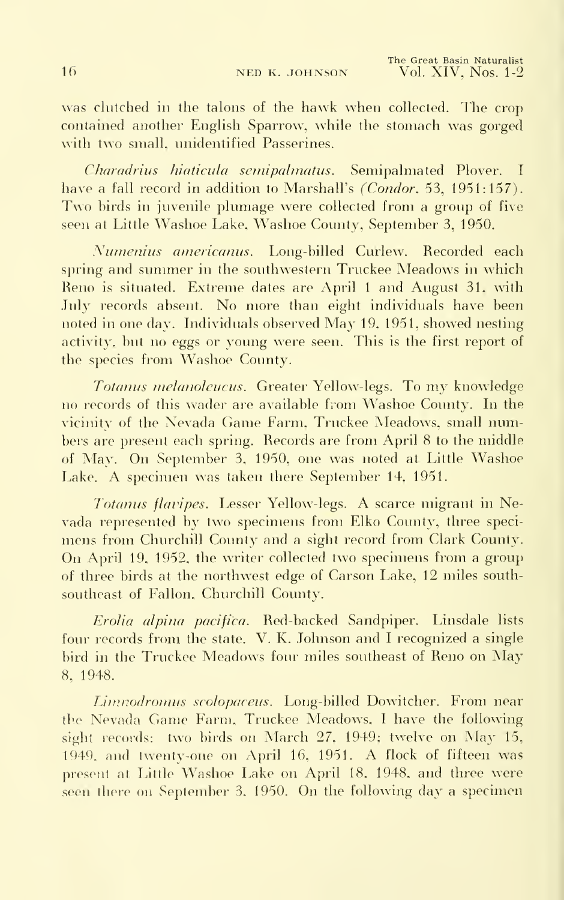was clutched in the talons of the hawk when collected. The crop) contained another English Sparrow, while the stomach was gorged with two small, unidentified Passerines.

Charadrius hiaticula semipalmatus. Semipalmated Plover. I have a fall record in addition to Marshall's (Condor, 53, 1951:157). Two birds in juvenile plumage were collected from <sup>a</sup> group of five seen at Little Washoe Lake, Washoe County, September 3, 1950.

Numenius americanus. Long-billed Curlew. Recorded each spring and summer in the southwestern Truckee Meadows in which Reno is situated. Extreme dates are April 1 and August 31, with July records absent. No more than eight individuals have been noted in one day. Individuals observed May 19, 1951, showed nesting activity, but no eggs or young were seen. This is the first report of the species from Washoe County.

Totanus melanoleucus. Greater Yellow-legs. To my knowledge no records of this wader are available from Washoe County. In the vicinity of the Nevada Game Farm, Truckee Meadows, small numbers are present each spring. Records are from April 8 to the middle of May. On September 3, 1950, one was noted at Little Washoe Lake. A specimen was taken there September 14, 1951.

Totanus flavipes. Lesser Yellow-legs. A scarce migrant in Nevada represented by two specimens from Elko County, three speci mens from Churchill County and a sight record from Clark County. On April 19, 1952, the writer collected two specimens from <sup>a</sup> group of three birds at the northwest edge of Carson Lake, 12 miles southsoutheast of Fallon, Churchill County.

Erolia alpina pacifica. Red-backed Sandpiper. Linsdale lists four records from the state. V. K. Johnson and  $\overline{I}$  recognized a single bird in the Truckee Meadows four miles southeast of Reno on May 8, 1948.

Limuodromus scolopaceus. Long-billed Dowitcher. From near the Nevada Game Farm, Truckee Meadows, <sup>I</sup> have the following sight records: two birds on March 27, 1949; twelve on May 15, 1949, and twenty-one on April 16, 1951. A flock of fifteen was present at Little Washoe Lake on April 18, 1948, and three were seen there on September 3, 1950. On the following day <sup>a</sup> specimen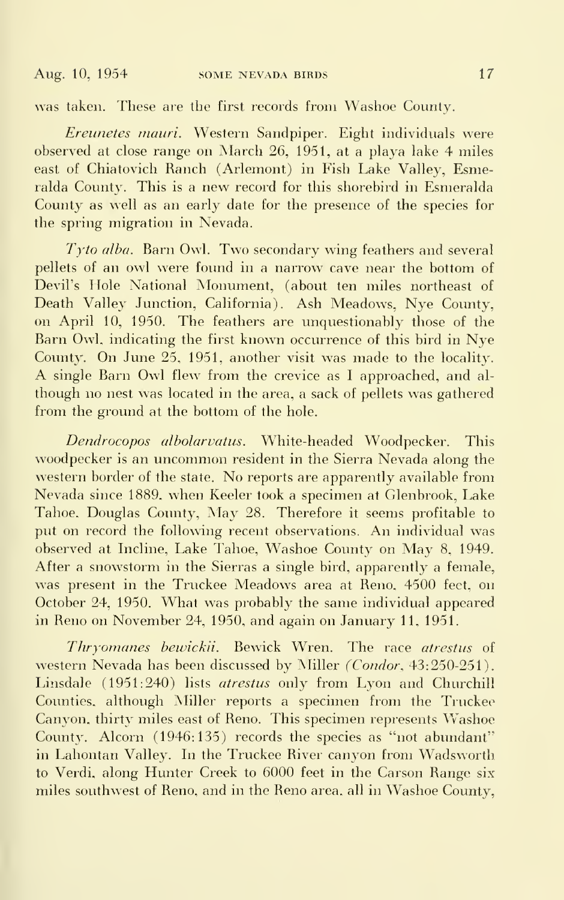was taken. These are the first records from Washoe County.

Ereunetes mauri. Western Sandpiper. Eight individuals were observed at close range on March 26, 1951, at a playa lake 4 miles east of Chiatovich Ranch (Arlemont) in Fish Lake Valley, Esmeralda County. This is a new record for this shorebird in Esmeralda County as well as an early date for the presence of the species for the spring migration in Nevada.

Tyto alba. Barn Owl. Two secondary wing feathers and several pellets of an owl were found in a narrow cave near the bottom of Devil's Hole National Monument, (about ten miles northeast of Death Valley Junction, California). Ash Meadows, Nye County, on April 10, 1950. The feathers are unquestionably those of the Barn Owl, indicating the first known occurrence of this bird in Nye County. On June 25, 1951, another visit was made to the locality. A single Barn Owl flew from the crevice as <sup>I</sup> approached, and al though no nest was located in the area, a sack of pellets was gathered from the ground at the bottom of the hole.

Dendrocopos albolarvatus. White-headed Woodpecker. This woodpecker is an uncommon resident in the Sierra Nevada along the western border of the state. No reports are apparently available from Nevada since 1889, when Keeler took a specimen at Glenbrook, Lake Tahoe, Douglas County, May 28. Therefore it seems profitable to put on record the following recent observations. An individual was observed at Incline, Lake Tahoe, Washoe County on May 8, 1949. After a snowstorm in the Sierras a single bird, apparently a female, was present in the Truckee Meadows area at Reno, 4500 feet, on October 24, 1950. What was probably the same individual appeared in Reno on November 24, 1950, and again on January 11, 1951.

Thryomanes bewickii. Bewick Wren. The race atrestus of western Nevada has been discussed by Miller (Condor, 43:250-251). Linsdale (1951:240) lists atrestus only from Lyon and Churchill Counties, although Miller reports a specimen from the Truckee Canyon, thirty miles east of Reno. This specimen represents Washoe County. Alcorn  $(1946:135)$  records the species as "not abundant" in Lahontan Valley. In the Truckee River canyon from Wadsworth to Verdi, along Hunter Creek to 6000 feet in the Carson Range six miles southwest of Reno, and in the Reno area, all in Washoe County,